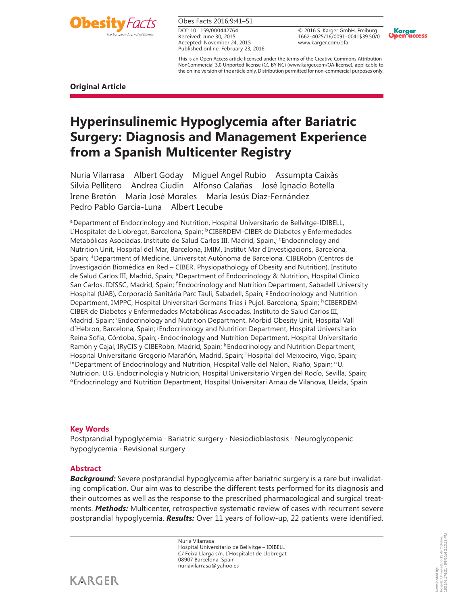

| Obes Facts 2016;9:41-51 |  |  |  |  |
|-------------------------|--|--|--|--|
|-------------------------|--|--|--|--|

Received: June 30, 2015 Accepted: November 24, 2015 Published online: February 23, 2016 DOI: 10.1159/000442764

© 2016 S. Karger GmbH, Freiburg 1662–4025/16/0091–0041\$39.50/0 www.karger.com/ofa



This is an Open Access article licensed under the terms of the Creative Commons Attribution-NonCommercial 3.0 Unported license (CC BY-NC) (www.karger.com/OA-license), applicable to the online version of the article only. Distribution permitted for non-commercial purposes only.

**Original Article** 

# **Hyperinsulinemic Hypoglycemia after Bariatric Surgery: Diagnosis and Management Experience from a Spanish Multicenter Registry**

Nuria Vilarrasa Albert Goday Miguel Angel Rubio Assumpta Caixàs Silvia Pellitero Andrea Ciudin Alfonso Calañas José Ignacio Botella Irene Bretón María José Morales María Jesús Díaz-Fernández Pedro Pablo García-Luna Albert Lecube

aDepartment of Endocrinology and Nutrition, Hospital Universitario de Bellvitge-IDIBELL, L'Hospitalet de Llobregat, Barcelona, Spain; <sup>b</sup>CIBERDEM-CIBER de Diabetes y Enfermedades Metabólicas Asociadas. Instituto de Salud Carlos III, Madrid, Spain.; <sup>c</sup>Endocrinology and Nutrition Unit, Hospital del Mar, Barcelona, IMIM, Institut Mar d'Investigacions, Barcelona , Spain; <sup>d</sup>Department of Medicine, Universitat Autònoma de Barcelona, CIBERobn (Centros de Investigación Biomédica en Red – CIBER, Physiopathology of Obesity and Nutrition), Instituto de Salud Carlos III, Madrid, Spain; eDepartment of Endocrinology & Nutrition, Hospital Clínico San Carlos. IDISSC, Madrid, Spain; <sup>f</sup>Endocrinology and Nutrition Department, Sabadell University Hospital (UAB), Corporació Sanitària Parc Taulí, Sabadell, Spain; <sup>g</sup>Endocrinology and Nutrition Department, IMPPC, Hospital Universitari Germans Trias i Pujol, Barcelona, Spain; <sup>h</sup>CIBERDEM-CIBER de Diabetes y Enfermedades Metabólicas Asociadas. Instituto de Salud Carlos III, Madrid, Spain; <sup>i</sup>Endocrinology and Nutrition Department. Morbid Obesity Unit, Hospital Vall d'Hebron, Barcelona, Spain; <sup>j</sup>Endocrinology and Nutrition Department, Hospital Universitario Reina Sofía, Córdoba, Spain; <sup>j</sup>Endocrinology and Nutrition Department, Hospital Universitario Ramón y Cajal, IRyCIS y CIBERobn, Madrid, Spain; KEndocrinology and Nutrition Department, Hospital Universitario Gregorio Marañón, Madrid, Spain; <sup>I</sup>Hospital del Meixoeiro, Vigo, Spain;<br>™Department of Endocrinology and Nutrition, Hospital Valle del Nalon., Riaño, Spain; "U. Nutricion. U.G. Endocrinologia y Nutricion, Hospital Universitario Virgen del Rocío, Sevilla, Spain; <sup>o</sup>Endocrinology and Nutrition Department, Hospital Universitari Arnau de Vilanova, Lleida, Spain

# **Key Words**

Postprandial hypoglycemia · Bariatric surgery · Nesiodioblastosis · Neuroglycopenic hypoglycemia · Revisional surgery

# **Abstract**

*Background:* Severe postprandial hypoglycemia after bariatric surgery is a rare but invalidating complication. Our aim was to describe the different tests performed for its diagnosis and their outcomes as well as the response to the prescribed pharmacological and surgical treatments. *Methods:* Multicenter, retrospective systematic review of cases with recurrent severe postprandial hypoglycemia. *Results:* Over 11 years of follow-up, 22 patients were identified.

> Nuria Vilarrasa Hospital Universitario de Bellvitge – IDIBELL C/ Feixa Llarga s/n, L´Hospitalet de Llobregat 08907 Barcelona, Spain nuriavilarrasa @ yahoo.es



193.146.176.21 - 6/6/2016 2:13:28 PM

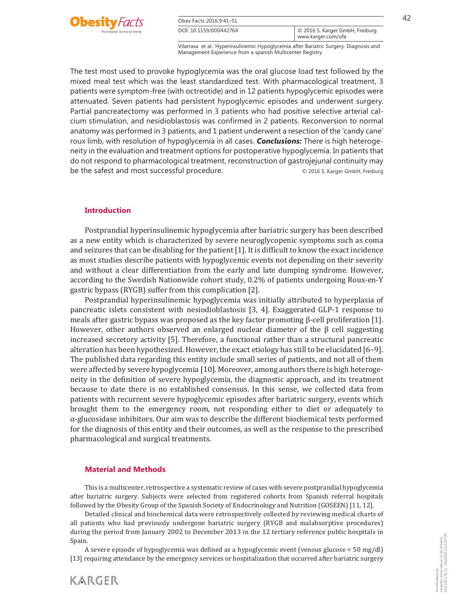

| Obes Facts 2016:9:41-51 |                                                             |  |
|-------------------------|-------------------------------------------------------------|--|
| DOI: 10.1159/000442764  | $\circ$ 2016 S. Karger GmbH, Freiburg<br>www.karger.com/ofa |  |

The test most used to provoke hypoglycemia was the oral glucose load test followed by the mixed meal test which was the least standardized test. With pharmacological treatment, 3 patients were symptom-free (with octreotide) and in 12 patients hypoglycemic episodes were attenuated. Seven patients had persistent hypoglycemic episodes and underwent surgery. Partial pancreatectomy was performed in 3 patients who had positive selective arterial calcium stimulation, and nesidioblastosis was confirmed in 2 patients. Reconversion to normal anatomy was performed in 3 patients, and 1 patient underwent a resection of the 'candy cane' roux limb, with resolution of hypoglycemia in all cases. *Conclusions:* There is high heterogeneity in the evaluation and treatment options for postoperative hypoglycemia. In patients that do not respond to pharmacological treatment, reconstruction of gastrojejunal continuity may be the safest and most successful procedure.  $\degree$  2016 S. Karger GmbH, Freiburg

## **Introduction**

 Postprandial hyperinsulinemic hypoglycemia after bariatric surgery has been described as a new entity which is characterized by severe neuroglycopenic symptoms such as coma and seizures that can be disabling for the patient [1] . It is difficult to know the exact incidence as most studies describe patients with hypoglycemic events not depending on their severity and without a clear differentiation from the early and late dumping syndrome. However, according to the Swedish Nationwide cohort study, 0.2% of patients undergoing Roux-en-Y gastric bypass (RYGB) suffer from this complication [2] .

 Postprandial hyperinsulinemic hypoglycemia was initially attributed to hyperplasia of pancreatic islets consistent with nesiodioblastosis [3, 4] . Exaggerated GLP-1 response to meals after gastric bypass was proposed as the key factor promoting β-cell proliferation [1] . However, other authors observed an enlarged nuclear diameter of the  $\beta$  cell suggesting increased secretory activity [5]. Therefore, a functional rather than a structural pancreatic alteration has been hypothesized. However, the exact etiology has still to be elucidated [6–9] . The published data regarding this entity include small series of patients, and not all of them were affected by severe hypoglycemia [10] . Moreover, among authors there is high heterogeneity in the definition of severe hypoglycemia, the diagnostic approach, and its treatment because to date there is no established consensus. In this sense, we collected data from patients with recurrent severe hypoglycemic episodes after bariatric surgery, events which brought them to the emergency room, not responding either to diet or adequately to α-glucosidase inhibitors. Our aim was to describe the different biochemical tests performed for the diagnosis of this entity and their outcomes, as well as the response to the prescribed pharmacological and surgical treatments.

## **Material and Methods**

**KARGER** 

 This is a multicenter, retrospective a systematic review of cases with severe postprandial hypoglycemia after bariatric surgery. Subjects were selected from registered cohorts from Spanish referral hospitals followed by the Obesity Group of the Spanish Society of Endocrinology and Nutrition (GOSEEN) [11, 12] .

 Detailed clinical and biochemical data were retrospectively collected by reviewing medical charts of all patients who had previously undergone bariatric surgery (RYGB and malabsorptive procedures) during the period from January 2002 to December 2013 in the 12 tertiary reference public hospitals in Spain.

 A severe episode of hypoglycemia was defined as a hypoglycemic event (venous glucose < 50 mg/dl) [13] requiring attendance by the emergency services or hospitalization that occurred after bariatric surgery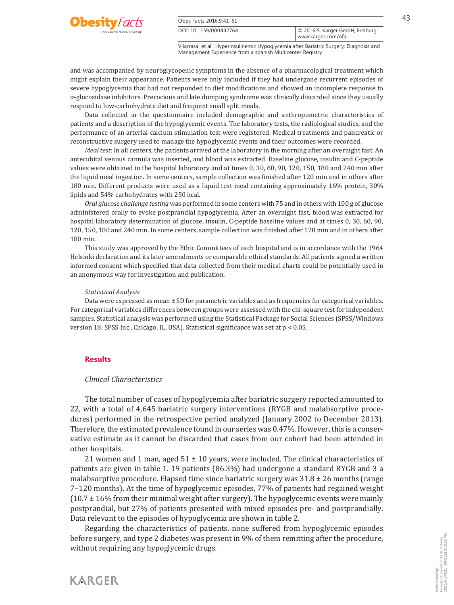

| Obes Facts 2016;9:41-51 |                                                       |  |
|-------------------------|-------------------------------------------------------|--|
| DOI: 10.1159/000442764  | © 2016 S. Karger GmbH, Freiburg<br>www.karger.com/ofa |  |

and was accompanied by neuroglycopenic symptoms in the absence of a pharmacological treatment which might explain their appearance. Patients were only included if they had undergone recurrent episodes of severe hypoglycemia that had not responded to diet modifications and showed an incomplete response to α-glucosidase inhibitors. Precocious and late dumping syndrome was clinically discarded since they usually respond to low-carbohydrate diet and frequent small split meals.

 Data collected in the questionnaire included demographic and anthropometric characteristics of patients and a description of the hypoglycemic events. The laboratory tests, the radiological studies, and the performance of an arterial calcium stimulation test were registered. Medical treatments and pancreatic or reconstructive surgery used to manage the hypoglycemic events and their outcomes were recorded.

*Meal test* : In all centers, the patients arrived at the laboratory in the morning after an overnight fast. An antecubital venous cannula was inserted, and blood was extracted. Baseline glucose, insulin and C-peptide values were obtained in the hospital laboratory and at times 0, 30, 60, 90, 120, 150, 180 and 240 min after the liquid meal ingestion. In some centers, sample collection was finished after 120 min and in others after 180 min. Different products were used as a liquid test meal containing approximately 16% protein, 30% lipids and 54% carbohydrates with 250 kcal.

*Oral glucose challenge testing* was performed in some centers with 75 and in others with 100 g of glucose administered orally to evoke postprandial hypoglycemia. After an overnight fast, blood was extracted for hospital laboratory determination of glucose, insulin, C-peptide baseline values and at times 0, 30, 60, 90, 120, 150, 180 and 240 min. In some centers, sample collection was finished after 120 min and in others after 180 min.

 This study was approved by the Ethic Committees of each hospital and is in accordance with the 1964 Helsinki declaration and its later amendments or comparable ethical standards. All patients signed a written informed consent which specified that data collected from their medical charts could be potentially used in an anonymous way for investigation and publication.

#### *Statistical Analysis*

 Data were expressed as mean ± SD for parametric variables and as frequencies for categorical variables. For categorical variables differences between groups were assessed with the chi-square test for independent samples. Statistical analysis was performed using the Statistical Package for Social Sciences (SPSS/Windows version 18; SPSS Inc., Chicago, IL, USA). Statistical significance was set at p < 0.05.

## **Results**

#### *Clinical Characteristics*

 The total number of cases of hypoglycemia after bariatric surgery reported amounted to 22, with a total of 4,645 bariatric surgery interventions (RYGB and malabsorptive procedures) performed in the retrospective period analyzed (January 2002 to December 2013). Therefore, the estimated prevalence found in our series was 0.47%. However, this is a conservative estimate as it cannot be discarded that cases from our cohort had been attended in other hospitals.

21 women and 1 man, aged  $51 \pm 10$  years, were included. The clinical characteristics of patients are given in table 1.19 patients (86.3%) had undergone a standard RYGB and 3 a malabsorptive procedure. Elapsed time since bariatric surgery was  $31.8 \pm 26$  months (range 7–120 months). At the time of hypoglycemic episodes, 77% of patients had regained weight  $(10.7 \pm 16\%$  from their minimal weight after surgery). The hypoglycemic events were mainly postprandial, but 27% of patients presented with mixed episodes pre- and postprandially. Data relevant to the episodes of hypoglycemia are shown in table 2.

 Regarding the characteristics of patients, none suffered from hypoglycemic episodes before surgery, and type 2 diabetes was present in 9% of them remitting after the procedure, without requiring any hypoglycemic drugs.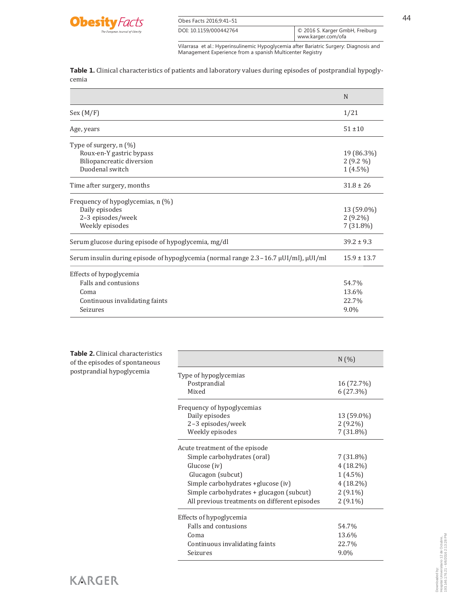

| Obes Facts 2016;9:41-51 |                                                       | 44 |
|-------------------------|-------------------------------------------------------|----|
| DOI: 10.1159/000442764  | © 2016 S. Karger GmbH, Freiburg<br>www.karger.com/ofa |    |

**Table 1.** Clinical characteristics of patients and laboratory values during episodes of postprandial hypoglycemia

|                                                                                                       | N                                       |
|-------------------------------------------------------------------------------------------------------|-----------------------------------------|
| Sex (M/F)                                                                                             | 1/21                                    |
| Age, years                                                                                            | $51 \pm 10$                             |
| Type of surgery, n (%)<br>Roux-en-Y gastric bypass<br>Biliopancreatic diversion<br>Duodenal switch    | 19 (86.3%)<br>$2(9.2\%)$<br>$1(4.5\%)$  |
| Time after surgery, months                                                                            | $31.8 \pm 26$                           |
| Frequency of hypoglycemias, n (%)<br>Daily episodes<br>2-3 episodes/week<br>Weekly episodes           | 13 (59.0%)<br>$2(9.2\%)$<br>$7(31.8\%)$ |
| Serum glucose during episode of hypoglycemia, mg/dl                                                   | $39.2 \pm 9.3$                          |
| Serum insulin during episode of hypoglycemia (normal range 2.3 – 16.7 μUI/ml), μUI/ml                 | $15.9 \pm 13.7$                         |
| Effects of hypoglycemia<br>Falls and contusions<br>Coma<br>Continuous invalidating faints<br>Seizures | 54.7%<br>13.6%<br>22.7%<br>9.0%         |

| <b>Table 2.</b> Clinical characteristics |
|------------------------------------------|
| of the episodes of spontaneous           |
| postprandial hypoglycemia                |

|                                               | N(%)        |
|-----------------------------------------------|-------------|
| Type of hypoglycemias                         |             |
| Postprandial                                  | 16 (72.7%)  |
| Mixed                                         | 6(27.3%)    |
| Frequency of hypoglycemias                    |             |
| Daily episodes                                | 13 (59.0%)  |
| 2-3 episodes/week                             | $2(9.2\%)$  |
| Weekly episodes                               | $7(31.8\%)$ |
| Acute treatment of the episode                |             |
| Simple carbohydrates (oral)                   | $7(31.8\%)$ |
| Glucose (iv)                                  | $4(18.2\%)$ |
| Glucagon (subcut)                             | $1(4.5\%)$  |
| Simple carbohydrates +glucose (iv)            | $4(18.2\%)$ |
| Simple carbohydrates + glucagon (subcut)      | $2(9.1\%)$  |
| All previous treatments on different episodes | $2(9.1\%)$  |
| Effects of hypoglycemia                       |             |
| Falls and contusions                          | 54.7%       |
| Coma                                          | 13.6%       |
| Continuous invalidating faints                | 22.7%       |
| Seizures                                      | $9.0\%$     |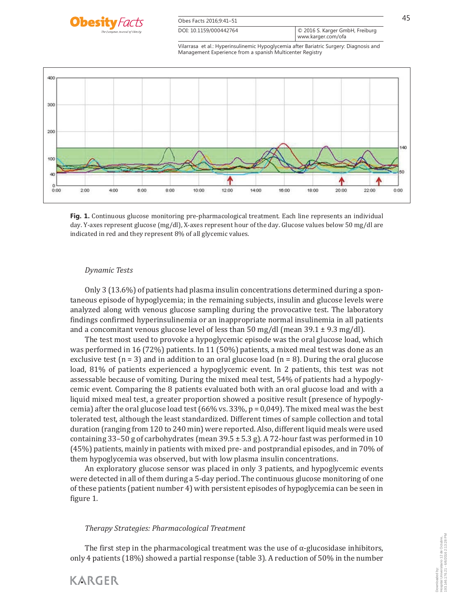

| Obes Facts 2016:9:41-51 |                                                       |  |
|-------------------------|-------------------------------------------------------|--|
| DOI: 10.1159/000442764  | O 2016 S. Karger GmbH, Freiburg<br>www.karger.com/ofa |  |



**Fig. 1.** Continuous glucose monitoring pre-pharmacological treatment. Each line represents an individual day. Y-axes represent glucose (mg/dl), X-axes represent hour of the day. Glucose values below 50 mg/dl are indicated in red and they represent 8% of all glycemic values.

## *Dynamic Tests*

**KARGER** 

 Only 3 (13.6%) of patients had plasma insulin concentrations determined during a spontaneous episode of hypoglycemia; in the remaining subjects, insulin and glucose levels were analyzed along with venous glucose sampling during the provocative test. The laboratory findings confirmed hyperinsulinemia or an inappropriate normal insulinemia in all patients and a concomitant venous glucose level of less than 50 mg/dl (mean  $39.1 \pm 9.3$  mg/dl).

 The test most used to provoke a hypoglycemic episode was the oral glucose load, which was performed in 16 (72%) patients. In 11 (50%) patients, a mixed meal test was done as an exclusive test ( $n = 3$ ) and in addition to an oral glucose load ( $n = 8$ ). During the oral glucose load, 81% of patients experienced a hypoglycemic event. In 2 patients, this test was not assessable because of vomiting. During the mixed meal test, 54% of patients had a hypoglycemic event. Comparing the 8 patients evaluated both with an oral glucose load and with a liquid mixed meal test, a greater proportion showed a positive result (presence of hypoglycemia) after the oral glucose load test (66% vs.  $33\%$ , p = 0,049). The mixed meal was the best tolerated test, although the least standardized. Different times of sample collection and total duration (ranging from 120 to 240 min) were reported. Also, different liquid meals were used containing 33–50 g of carbohydrates (mean  $39.5 \pm 5.3$  g). A 72-hour fast was performed in 10 (45%) patients, mainly in patients with mixed pre- and postprandial episodes, and in 70% of them hypoglycemia was observed, but with low plasma insulin concentrations.

 An exploratory glucose sensor was placed in only 3 patients, and hypoglycemic events were detected in all of them during a 5-day period. The continuous glucose monitoring of one of these patients (patient number 4) with persistent episodes of hypoglycemia can be seen in figure 1.

#### *Therapy Strategies: Pharmacological Treatment*

The first step in the pharmacological treatment was the use of  $\alpha$ -glucosidase inhibitors, only 4 patients (18%) showed a partial response ( table 3 ). A reduction of 50% in the number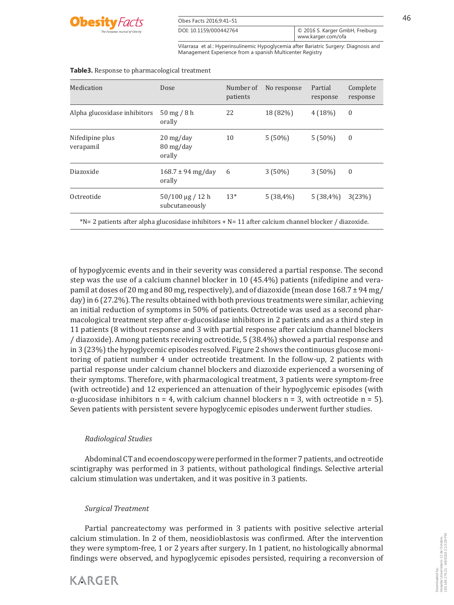

| Obes Facts 2016:9:41-51 |                                                             |  |
|-------------------------|-------------------------------------------------------------|--|
| DOI: 10.1159/000442764  | $\circ$ 2016 S. Karger GmbH, Freiburg<br>www.karger.com/ofa |  |

| Medication                                                                                           | Dose                                                                             | Number of<br>patients | No response | Partial<br>response | Complete<br>response |
|------------------------------------------------------------------------------------------------------|----------------------------------------------------------------------------------|-----------------------|-------------|---------------------|----------------------|
| Alpha glucosidase inhibitors                                                                         | $50 \text{ mg} / 8 \text{ h}$<br>orally                                          | 22                    | 18 (82%)    | 4(18%)              | $\mathbf{0}$         |
| Nifedipine plus<br>verapamil                                                                         | $20 \frac{\text{mg}}{\text{day}}$<br>$80 \frac{\text{mg}}{\text{day}}$<br>orally | 10                    | $5(50\%)$   | $5(50\%)$           | $\mathbf{0}$         |
| Diazoxide                                                                                            | $168.7 \pm 94 \text{ mg/day}$<br>orally                                          | 6                     | $3(50\%)$   | $3(50\%)$           | $\mathbf{0}$         |
| Octreotide                                                                                           | $50/100 \mu g / 12 h$<br>subcutaneously                                          | $13*$                 | $5(38,4\%)$ | $5(38,4\%)$         | 3(23%)               |
| $N=2$ patients after alpha glucosidase inhibitors + N= 11 after calcium channel blocker / diazoxide. |                                                                                  |                       |             |                     |                      |

#### **Table3.** Response to pharmacological treatment

of hypoglycemic events and in their severity was considered a partial response. The second step was the use of a calcium channel blocker in 10 (45.4%) patients (nifedipine and verapamil at doses of 20 mg and 80 mg, respectively), and of diazoxide (mean dose  $168.7 \pm 94$  mg/ day) in 6 (27.2%). The results obtained with both previous treatments were similar, achieving an initial reduction of symptoms in 50% of patients. Octreotide was used as a second pharmacological treatment step after  $\alpha$ -glucosidase inhibitors in 2 patients and as a third step in 11 patients (8 without response and 3 with partial response after calcium channel blockers / diazoxide). Among patients receiving octreotide, 5 (38.4%) showed a partial response and in 3 (23%) the hypoglycemic episodes resolved. Figure 2 shows the continuous glucose monitoring of patient number 4 under octreotide treatment. In the follow-up, 2 patients with partial response under calcium channel blockers and diazoxide experienced a worsening of their symptoms. Therefore, with pharmacological treatment, 3 patients were symptom-free (with octreotide) and 12 experienced an attenuation of their hypoglycemic episodes (with  $\alpha$ -glucosidase inhibitors n = 4, with calcium channel blockers n = 3, with octreotide n = 5). Seven patients with persistent severe hypoglycemic episodes underwent further studies.

# *Radiological Studies*

 Abdominal CT and ecoendoscopy were performed in the former 7 patients, and octreotide scintigraphy was performed in 3 patients, without pathological findings. Selective arterial calcium stimulation was undertaken, and it was positive in 3 patients.

## *Surgical Treatment*

**KARGER** 

 Partial pancreatectomy was performed in 3 patients with positive selective arterial calcium stimulation. In 2 of them, neosidioblastosis was confirmed. After the intervention they were symptom-free, 1 or 2 years after surgery. In 1 patient, no histologically abnormal findings were observed, and hypoglycemic episodes persisted, requiring a reconversion of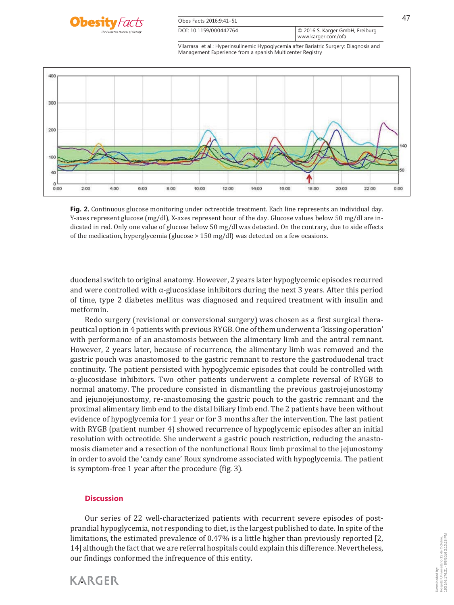

| Obes Facts 2016:9:41-51 |                                                       |  |
|-------------------------|-------------------------------------------------------|--|
| DOI: 10.1159/000442764  | O 2016 S. Karger GmbH, Freiburg<br>www.karger.com/ofa |  |



**Fig. 2.** Continuous glucose monitoring under octreotide treatment. Each line represents an individual day. Y-axes represent glucose (mg/dl), X-axes represent hour of the day. Glucose values below 50 mg/dl are indicated in red. Only one value of glucose below 50 mg/dl was detected. On the contrary, due to side effects of the medication, hyperglycemia (glucose > 150 mg/dl) was detected on a few ocasions.

duodenal switch to original anatomy. However, 2 years later hypoglycemic episodes recurred and were controlled with  $\alpha$ -glucosidase inhibitors during the next 3 years. After this period of time, type 2 diabetes mellitus was diagnosed and required treatment with insulin and metformin.

 Redo surgery (revisional or conversional surgery) was chosen as a first surgical therapeutical option in 4 patients with previous RYGB. One of them underwent a 'kissing operation' with performance of an anastomosis between the alimentary limb and the antral remnant. However, 2 years later, because of recurrence, the alimentary limb was removed and the gastric pouch was anastomosed to the gastric remnant to restore the gastroduodenal tract continuity. The patient persisted with hypoglycemic episodes that could be controlled with α-glucosidase inhibitors. Two other patients underwent a complete reversal of RYGB to normal anatomy. The procedure consisted in dismantling the previous gastrojejunostomy and jejunojejunostomy, re-anastomosing the gastric pouch to the gastric remnant and the proximal alimentary limb end to the distal biliary limb end. The 2 patients have been without evidence of hypoglycemia for 1 year or for 3 months after the intervention. The last patient with RYGB (patient number 4) showed recurrence of hypoglycemic episodes after an initial resolution with octreotide. She underwent a gastric pouch restriction, reducing the anastomosis diameter and a resection of the nonfunctional Roux limb proximal to the jejunostomy in order to avoid the 'candy cane' Roux syndrome associated with hypoglycemia. The patient is symptom-free 1 year after the procedure (fig. 3).

## **Discussion**

**KARGER** 

 Our series of 22 well-characterized patients with recurrent severe episodes of postprandial hypoglycemia, not responding to diet, is the largest published to date. In spite of the limitations, the estimated prevalence of 0.47% is a little higher than previously reported [2, 14] although the fact that we are referral hospitals could explain this difference. Nevertheless, our findings conformed the infrequence of this entity.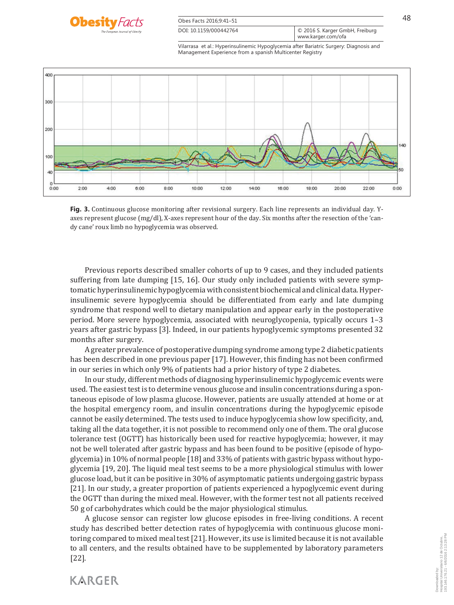

**Fig. 3.** Continuous glucose monitoring after revisional surgery. Each line represents an individual day. Yaxes represent glucose (mg/dl), X-axes represent hour of the day. Six months after the resection of the 'candy cane' roux limb no hypoglycemia was observed.

 Previous reports described smaller cohorts of up to 9 cases, and they included patients suffering from late dumping [15, 16] . Our study only included patients with severe symptomatic hyperinsulinemic hypoglycemia with consistent biochemical and clinical data. Hyperinsulinemic severe hypoglycemia should be differentiated from early and late dumping syndrome that respond well to dietary manipulation and appear early in the postoperative period. More severe hypoglycemia, associated with neuroglycopenia, typically occurs 1–3 years after gastric bypass [3] . Indeed, in our patients hypoglycemic symptoms presented 32 months after surgery.

 A greater prevalence of postoperative dumping syndrome among type 2 diabetic patients has been described in one previous paper [17] . However, this finding has not been confirmed in our series in which only 9% of patients had a prior history of type 2 diabetes.

 In our study, different methods of diagnosing hyperinsulinemic hypoglycemic events were used. The easiest test is to determine venous glucose and insulin concentrations during a spontaneous episode of low plasma glucose. However, patients are usually attended at home or at the hospital emergency room, and insulin concentrations during the hypoglycemic episode cannot be easily determined. The tests used to induce hypoglycemia show low specificity, and, taking all the data together, it is not possible to recommend only one of them. The oral glucose tolerance test (OGTT) has historically been used for reactive hypoglycemia; however, it may not be well tolerated after gastric bypass and has been found to be positive (episode of hypoglycemia) in 10% of normal people [18] and 33% of patients with gastric bypass without hypoglycemia [19, 20] . The liquid meal test seems to be a more physiological stimulus with lower glucose load, but it can be positive in 30% of asymptomatic patients undergoing gastric bypass [21] . In our study, a greater proportion of patients experienced a hypoglycemic event during the OGTT than during the mixed meal. However, with the former test not all patients received 50 g of carbohydrates which could be the major physiological stimulus.

 A glucose sensor can register low glucose episodes in free-living conditions. A recent study has described better detection rates of hypoglycemia with continuous glucose monitoring compared to mixed meal test [21] . However, its use is limited because it is not available to all centers, and the results obtained have to be supplemented by laboratory parameters  $[22]$ .

**KARGER**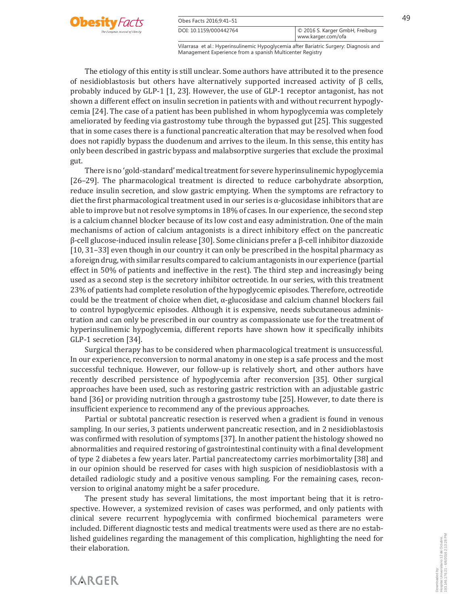

**KARGER** 

| Obes Facts 2016;9:41-51 |                                                       | 49 |
|-------------------------|-------------------------------------------------------|----|
| DOI: 10.1159/000442764  | © 2016 S. Karger GmbH, Freiburg<br>www.karger.com/ofa |    |

Vilarrasa et al.: Hyperinsulinemic Hypoglycemia after Bariatric Surgery: Diagnosis and Management Experience from a spanish Multicenter Registry

 The etiology of this entity is still unclear. Some authors have attributed it to the presence of nesidioblastosis but others have alternatively supported increased activity of β cells, probably induced by GLP-1 [1, 23] . However, the use of GLP-1 receptor antagonist, has not shown a different effect on insulin secretion in patients with and without recurrent hypoglycemia [24] . The case of a patient has been published in whom hypoglycemia was completely ameliorated by feeding via gastrostomy tube through the bypassed gut [25] . This suggested that in some cases there is a functional pancreatic alteration that may be resolved when food does not rapidly bypass the duodenum and arrives to the ileum. In this sense, this entity has only been described in gastric bypass and malabsorptive surgeries that exclude the proximal gut.

 There is no 'gold-standard' medical treatment for severe hyperinsulinemic hypoglycemia [26–29]. The pharmacological treatment is directed to reduce carbohydrate absorption, reduce insulin secretion, and slow gastric emptying. When the symptoms are refractory to diet the first pharmacological treatment used in our series is  $\alpha$ -glucosidase inhibitors that are able to improve but not resolve symptoms in 18% of cases. In our experience, the second step is a calcium channel blocker because of its low cost and easy administration. One of the main mechanisms of action of calcium antagonists is a direct inhibitory effect on the pancreatic β-cell glucose-induced insulin release [30] . Some clinicians prefer a β-cell inhibitor diazoxide [10, 31–33] even though in our country it can only be prescribed in the hospital pharmacy as a foreign drug, with similar results compared to calcium antagonists in our experience (partial effect in 50% of patients and ineffective in the rest). The third step and increasingly being used as a second step is the secretory inhibitor octreotide. In our series, with this treatment 23% of patients had complete resolution of the hypoglycemic episodes. Therefore, octreotide could be the treatment of choice when diet,  $\alpha$ -glucosidase and calcium channel blockers fail to control hypoglycemic episodes. Although it is expensive, needs subcutaneous administration and can only be prescribed in our country as compassionate use for the treatment of hyperinsulinemic hypoglycemia, different reports have shown how it specifically inhibits GLP-1 secretion [34].

 Surgical therapy has to be considered when pharmacological treatment is unsuccessful. In our experience, reconversion to normal anatomy in one step is a safe process and the most successful technique. However, our follow-up is relatively short, and other authors have recently described persistence of hypoglycemia after reconversion [35] . Other surgical approaches have been used, such as restoring gastric restriction with an adjustable gastric band [36] or providing nutrition through a gastrostomy tube [25] . However, to date there is insufficient experience to recommend any of the previous approaches.

 Partial or subtotal pancreatic resection is reserved when a gradient is found in venous sampling. In our series, 3 patients underwent pancreatic resection, and in 2 nesidioblastosis was confirmed with resolution of symptoms [37] . In another patient the histology showed no abnormalities and required restoring of gastrointestinal continuity with a final development of type 2 diabetes a few years later. Partial pancreatectomy carries morbimortality [38] and in our opinion should be reserved for cases with high suspicion of nesidioblastosis with a detailed radiologic study and a positive venous sampling. For the remaining cases, reconversion to original anatomy might be a safer procedure.

 The present study has several limitations, the most important being that it is retrospective. However, a systemized revision of cases was performed, and only patients with clinical severe recurrent hypoglycemia with confirmed biochemical parameters were included. Different diagnostic tests and medical treatments were used as there are no established guidelines regarding the management of this complication, highlighting the need for their elaboration.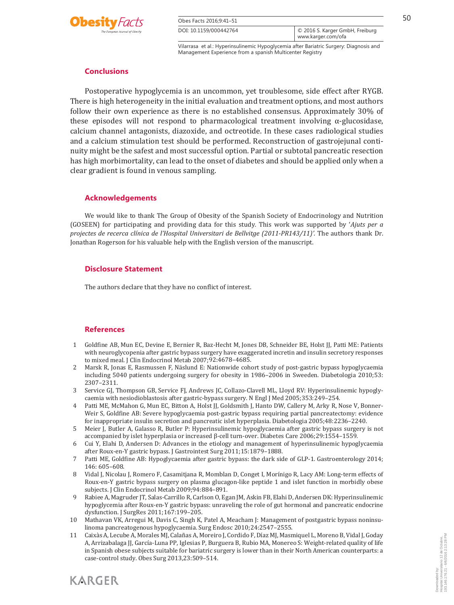

| Obes Facts 2016;9:41-51 |                                                       | 50 |
|-------------------------|-------------------------------------------------------|----|
| DOI: 10.1159/000442764  | © 2016 S. Karger GmbH, Freiburg<br>www.karger.com/ofa |    |

# **Conclusions**

 Postoperative hypoglycemia is an uncommon, yet troublesome, side effect after RYGB. There is high heterogeneity in the initial evaluation and treatment options, and most authors follow their own experience as there is no established consensus. Approximately 30% of these episodes will not respond to pharmacological treatment involving  $\alpha$ -glucosidase, calcium channel antagonists, diazoxide, and octreotide. In these cases radiological studies and a calcium stimulation test should be performed. Reconstruction of gastrojejunal continuity might be the safest and most successful option. Partial or subtotal pancreatic resection has high morbimortality, can lead to the onset of diabetes and should be applied only when a clear gradient is found in venous sampling.

# **Acknowledgements**

 We would like to thank The Group of Obesity of the Spanish Society of Endocrinology and Nutrition (GOSEEN) for participating and providing data for this study *.* This work was supported by ' *Ajuts per a projectes de recerca clínica de l'Hospital Universitari de Bellvitge (2011-PR143/11)'.* The authors thank Dr. Jonathan Rogerson for his valuable help with the English version of the manuscript.

## **Disclosure Statement**

The authors declare that they have no conflict of interest.

# **References**

**KARGER** 

- 1 Goldfine AB, Mun EC, Devine E, Bernier R, Baz-Hecht M, Jones DB, Schneider BE, Holst JJ, Patti ME: Patients with neuroglycopenia after gastric bypass surgery have exaggerated incretin and insulin secretory responses to mixed meal. J Clin Endocrinol Metab 2007;92:4678–4685.
- 2 Marsk R, Jonas E, Rasmussen F, Näslund E: Nationwide cohort study of post-gastric bypass hypoglycaemia including 5040 patients undergoing surgery for obesity in 1986–2006 in Sweeden. Diabetologia 2010;53: 2307–2311.
- 3 Service GJ, Thompson GB, Service FJ, Andrews JC, Collazo-Clavell ML, Lloyd RV: Hyperinsulinemic hypoglycaemia with nesiodioblastosis after gastric-bypass surgery. N Engl J Med 2005;353:249–254.
- 4 Patti ME, McMahon G, Mun EC, Bitton A, Holst JJ, Goldsmith J, Hanto DW, Callery M, Arky R, Nose V, Bonner-Weir S, Goldfine AB: Severe hypoglycaemia post-gastric bypass requiring partial pancreatectomy: evidence for inappropriate insulin secretion and pancreatic islet hyperplasia. Diabetologia 2005;48:2236–2240.
- 5 Meier J, Butler A, Galasso R, Butler P: Hyperinsulinemic hypoglycaemia after gastric bypass surgery is not accompanied by islet hyperplasia or increased β-cell turn-over. Diabetes Care 2006;29:1554–1559 *.*
- 6 Cui Y, Elahi D, Andersen D: Advances in the etiology and management of hyperinsulinemic hypoglycaemia after Roux-en-Y gastric bypass. J Gastrointest Surg 2011;15:1879–1888.
- 7 Patti ME, Goldfine AB: Hypoglycaemia after gastric bypass: the dark side of GLP-1. Gastroenterology 2014; 146: 605–608.
- 8 Vidal J, Nicolau J, Romero F, Casamitjana R, Momblan D, Conget I, Morínigo R, Lacy AM: Long-term effects of Roux-en-Y gastric bypass surgery on plasma glucagon-like peptide 1 and islet function in morbidly obese subjects. J Clin Endocrinol Metab 2009;94:884–891.
- 9 Rabiee A, Magruder JT, Salas-Carrillo R, Carlson O, Egan JM, Askin FB, Elahi D, Andersen DK: Hyperinsulinemic hypoglycemia after Roux-en-Y gastric bypass: unraveling the role of gut hormonal and pancreatic endocrine dysfunction. J SurgRes 2011;167:199–205.
- 10 Mathavan VK, Arregui M, Davis C, Singh K, Patel A, Meacham J: Management of postgastric bypass noninsulinoma pancreatogenous hypoglycaemia. Surg Endosc 2010;24:2547–2555.
- 11 Caixàs A, Lecube A, Morales MJ, Calañas A, Moreiro J, Cordido F, Díaz MJ, Masmiquel L, Moreno B, Vidal J, Goday A, Arrizabalaga JJ, García-Luna PP, Iglesias P, Burguera B, Rubio MA, Monereo S: Weight-related quality of life in Spanish obese subjects suitable for bariatric surgery is lower than in their North American counterparts: a case-control study. Obes Surg 2013,23:509–514.



Downloaded by:

193.146.176.21 - 6/6/2016 2:13:28 PMDownloaded by:<br>Hospital Universitario 12 de Octubre,<br>193.146.176.21 - 6/6/2016 2:13:28 PN Hospital Universitario 12 de Octubre,